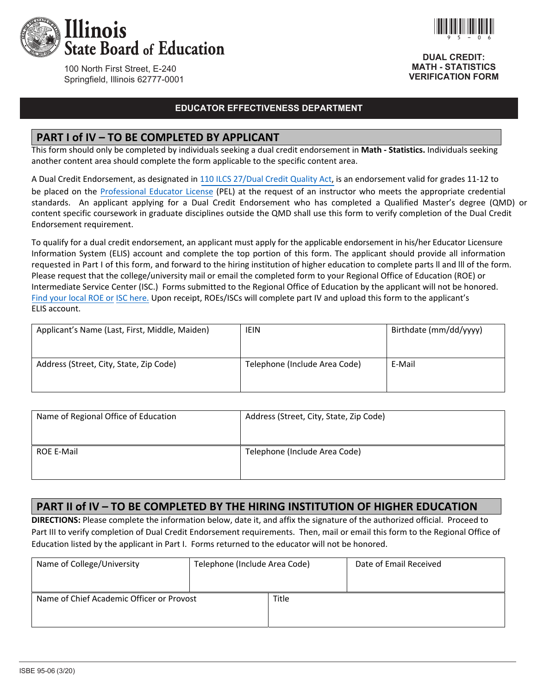

100 North First Street, E-240 Springfield, Illinois 62777-0001

### **EDUCATOR EFFECTIVENESS DEPARTMENT**

#### **PART I of IV – TO BE COMPLETED BY APPLICANT**

This form should only be completed by individuals seeking a dual credit endorsement in **Math - Statistics.** Individuals seeking another content area should complete the form applicable to the specific content area.

A Dual Credit Endorsement, as designated in [110 ILCS 27/Dual Credit Quality Act,](http://www.ilga.gov/legislation/ilcs/ilcs3.asp?ActID=3117&ChapterID=18) is an endorsement valid for grades 11‐12 to be placed on the Professional Educator License (PEL) at the request of an instructor who meets the appropriate credential standards. An applicant applying for a Dual Credit Endorsement who has completed a Qualified Master's degree (QMD) or content specific coursework in graduate disciplines outside the QMD shall use this form to verify completion of the Dual Credit Endorsement requirement.

To qualify for a dual credit endorsement, an applicant must apply for the applicable endorsement in his/her Educator Licensure Information System (ELIS) account and complete the top portion of this form. The applicant should provide all information requested in Part I of this form, and forward to the hiring institution of higher education to complete parts ll and lll of the form. Please request that the college/university mail or email the completed form to your Regional Office of Education (ROE) or Intermediate Service Center (ISC.) Forms submitted to the Regional Office of Education by the applicant will not be honored. Find your local ROE or ISC here. Upon receipt, ROEs/ISCs will complete part IV and upload this form to the applicant's ELIS account.

| Applicant's Name (Last, First, Middle, Maiden) | <b>IEIN</b>                   | Birthdate (mm/dd/yyyy) |
|------------------------------------------------|-------------------------------|------------------------|
| Address (Street, City, State, Zip Code)        | Telephone (Include Area Code) | E-Mail                 |

| Name of Regional Office of Education | Address (Street, City, State, Zip Code) |
|--------------------------------------|-----------------------------------------|
| <b>ROE E-Mail</b>                    | Telephone (Include Area Code)           |

#### **PART II of IV – TO BE COMPLETED BY THE HIRING INSTITUTION OF HIGHER EDUCATION**

**DIRECTIONS:** Please complete the information below, date it, and affix the signature of the authorized official. Proceed to Part III to verify completion of Dual Credit Endorsement requirements. Then, mail or email this form to the Regional Office of Education listed by the applicant in Part I. Forms returned to the educator will not be honored.

| Name of College/University                | Telephone (Include Area Code) |       | Date of Email Received |
|-------------------------------------------|-------------------------------|-------|------------------------|
|                                           |                               |       |                        |
| Name of Chief Academic Officer or Provost |                               | Title |                        |
|                                           |                               |       |                        |
|                                           |                               |       |                        |



**DUAL CREDIT: MATH - STATISTICS VERIFICATION FORM**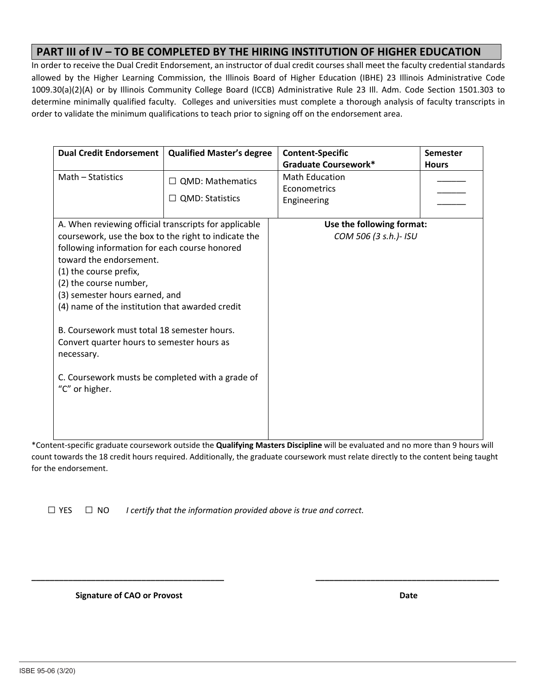## **PART III of IV – TO BE COMPLETED BY THE HIRING INSTITUTION OF HIGHER EDUCATION**

In order to receive the Dual Credit Endorsement, an instructor of dual credit courses shall meet the faculty credential standards allowed by the Higher Learning Commission, the Illinois Board of Higher Education (IBHE) 23 Illinois Administrative Code 1009.30(a)(2)(A) or by Illinois Community College Board (ICCB) Administrative Rule 23 Ill. Adm. Code Section 1501.303 to determine minimally qualified faculty. Colleges and universities must complete a thorough analysis of faculty transcripts in order to validate the minimum qualifications to teach prior to signing off on the endorsement area.

| <b>Dual Credit Endorsement</b>                        | <b>Qualified Master's degree</b> | <b>Content-Specific</b>     | Semester     |
|-------------------------------------------------------|----------------------------------|-----------------------------|--------------|
|                                                       |                                  | <b>Graduate Coursework*</b> | <b>Hours</b> |
| Math - Statistics                                     | <b>QMD: Mathematics</b>          | <b>Math Education</b>       |              |
|                                                       |                                  | Econometrics                |              |
|                                                       | <b>QMD: Statistics</b><br>$\Box$ | Engineering                 |              |
|                                                       |                                  |                             |              |
| A. When reviewing official transcripts for applicable |                                  | Use the following format:   |              |
| coursework, use the box to the right to indicate the  |                                  | COM 506 (3 s.h.)- ISU       |              |
| following information for each course honored         |                                  |                             |              |
| toward the endorsement.                               |                                  |                             |              |
| (1) the course prefix,                                |                                  |                             |              |
| (2) the course number,                                |                                  |                             |              |
| (3) semester hours earned, and                        |                                  |                             |              |
| (4) name of the institution that awarded credit       |                                  |                             |              |
|                                                       |                                  |                             |              |
| B. Coursework must total 18 semester hours.           |                                  |                             |              |
| Convert quarter hours to semester hours as            |                                  |                             |              |
| necessary.                                            |                                  |                             |              |
|                                                       |                                  |                             |              |
| C. Coursework musts be completed with a grade of      |                                  |                             |              |
| "C" or higher.                                        |                                  |                             |              |
|                                                       |                                  |                             |              |
|                                                       |                                  |                             |              |
|                                                       |                                  |                             |              |

\*Content‐specific graduate coursework outside the **Qualifying Masters Discipline** will be evaluated and no more than 9 hours will count towards the 18 credit hours required. Additionally, the graduate coursework must relate directly to the content being taught for the endorsement.

**\_\_\_\_\_\_\_\_\_\_\_\_\_\_\_\_\_\_\_\_\_\_\_\_\_\_\_\_\_\_\_\_\_\_\_\_\_\_\_\_\_\_ \_\_\_\_\_\_\_\_\_\_\_\_\_\_\_\_\_\_\_\_\_\_\_\_\_\_\_\_\_\_\_\_\_\_\_\_\_\_\_\_** 

 $\Box$  YES  $\Box$  NO *I certify that the information provided above is true and correct.* 

 **Signature of CAO or Provost** *Signature of CAO or Provost**Basic* **<b>** *Basic* **<b>** *Date Date Date*